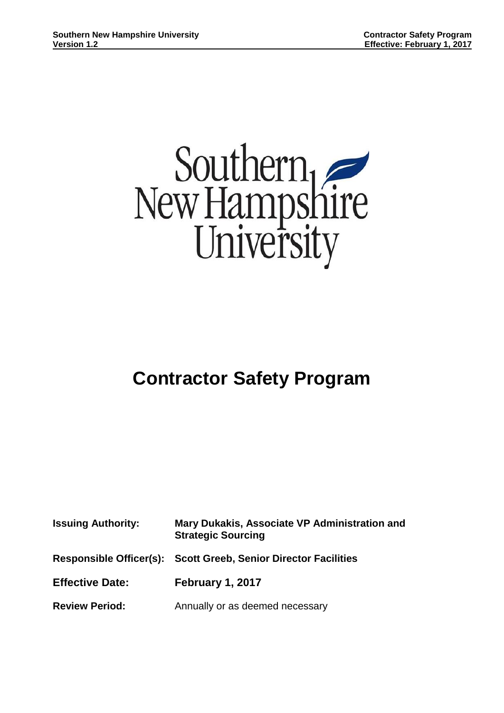

# **Contractor Safety Program**

| <b>Issuing Authority:</b> | Mary Dukakis, Associate VP Administration and<br><b>Strategic Sourcing</b> |  |
|---------------------------|----------------------------------------------------------------------------|--|
|                           | Responsible Officer(s): Scott Greeb, Senior Director Facilities            |  |
| <b>Effective Date:</b>    | February 1, 2017                                                           |  |
| <b>Review Period:</b>     | Annually or as deemed necessary                                            |  |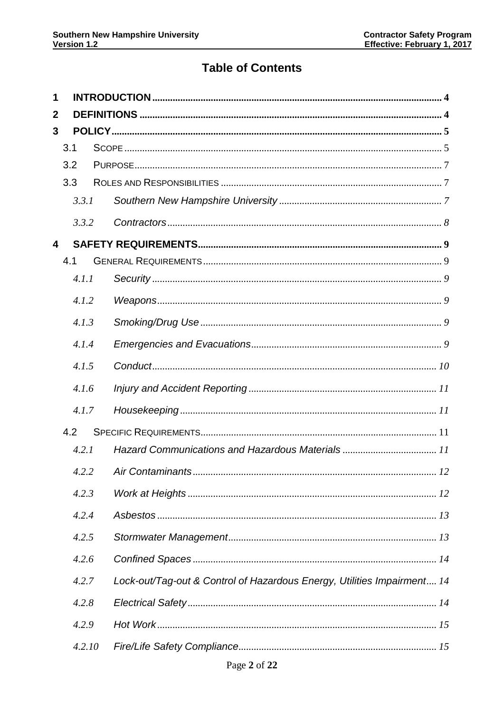# **Table of Contents**

| 1 |        |                                                                         |  |
|---|--------|-------------------------------------------------------------------------|--|
| 2 |        |                                                                         |  |
| 3 |        |                                                                         |  |
|   | 3.1    |                                                                         |  |
|   | 3.2    |                                                                         |  |
|   | 3.3    |                                                                         |  |
|   | 3.3.1  |                                                                         |  |
|   | 3.3.2  |                                                                         |  |
| 4 |        |                                                                         |  |
|   | 4.1    |                                                                         |  |
|   | 4.1.1  |                                                                         |  |
|   | 4.1.2  |                                                                         |  |
|   | 4.1.3  |                                                                         |  |
|   | 4.1.4  |                                                                         |  |
|   | 4.1.5  |                                                                         |  |
|   | 4.1.6  |                                                                         |  |
|   | 4.1.7  |                                                                         |  |
|   | 4.2    |                                                                         |  |
|   | 4.2.1  |                                                                         |  |
|   |        | 4.2.2 Air Contaminants.<br>12                                           |  |
|   | 4.2.3  |                                                                         |  |
|   | 4.2.4  |                                                                         |  |
|   | 4.2.5  |                                                                         |  |
|   | 4.2.6  |                                                                         |  |
|   | 4.2.7  | Lock-out/Tag-out & Control of Hazardous Energy, Utilities Impairment 14 |  |
|   | 4.2.8  |                                                                         |  |
|   | 4.2.9  |                                                                         |  |
|   | 4.2.10 |                                                                         |  |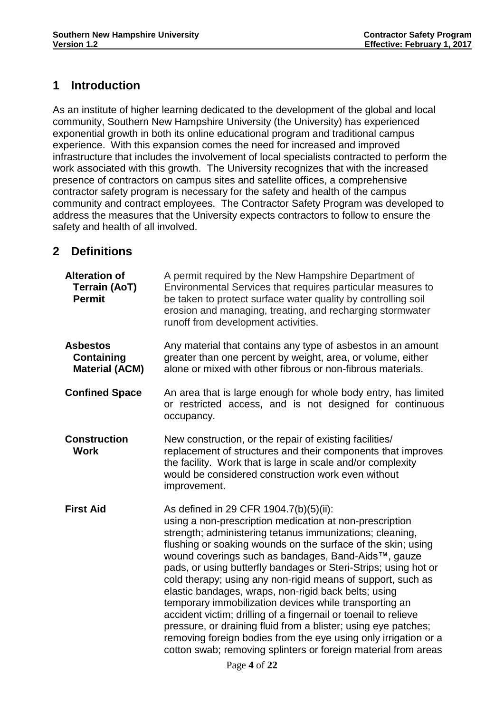# <span id="page-3-0"></span>**1 Introduction**

As an institute of higher learning dedicated to the development of the global and local community, Southern New Hampshire University (the University) has experienced exponential growth in both its online educational program and traditional campus experience. With this expansion comes the need for increased and improved infrastructure that includes the involvement of local specialists contracted to perform the work associated with this growth. The University recognizes that with the increased presence of contractors on campus sites and satellite offices, a comprehensive contractor safety program is necessary for the safety and health of the campus community and contract employees. The Contractor Safety Program was developed to address the measures that the University expects contractors to follow to ensure the safety and health of all involved.

# <span id="page-3-1"></span>**2 Definitions**

| <b>Alteration of</b><br><b>Terrain (AoT)</b><br><b>Permit</b> | A permit required by the New Hampshire Department of<br>Environmental Services that requires particular measures to<br>be taken to protect surface water quality by controlling soil<br>erosion and managing, treating, and recharging stormwater<br>runoff from development activities.                                                                                                                                                                                                                                                                                                                                                                                                                                                                                                                           |  |
|---------------------------------------------------------------|--------------------------------------------------------------------------------------------------------------------------------------------------------------------------------------------------------------------------------------------------------------------------------------------------------------------------------------------------------------------------------------------------------------------------------------------------------------------------------------------------------------------------------------------------------------------------------------------------------------------------------------------------------------------------------------------------------------------------------------------------------------------------------------------------------------------|--|
| <b>Asbestos</b><br><b>Containing</b><br><b>Material (ACM)</b> | Any material that contains any type of asbestos in an amount<br>greater than one percent by weight, area, or volume, either<br>alone or mixed with other fibrous or non-fibrous materials.                                                                                                                                                                                                                                                                                                                                                                                                                                                                                                                                                                                                                         |  |
| <b>Confined Space</b>                                         | An area that is large enough for whole body entry, has limited<br>or restricted access, and is not designed for continuous<br>occupancy.                                                                                                                                                                                                                                                                                                                                                                                                                                                                                                                                                                                                                                                                           |  |
| <b>Construction</b><br><b>Work</b>                            | New construction, or the repair of existing facilities/<br>replacement of structures and their components that improves<br>the facility. Work that is large in scale and/or complexity<br>would be considered construction work even without<br>improvement.                                                                                                                                                                                                                                                                                                                                                                                                                                                                                                                                                       |  |
| <b>First Aid</b>                                              | As defined in 29 CFR 1904.7(b)(5)(ii):<br>using a non-prescription medication at non-prescription<br>strength; administering tetanus immunizations; cleaning,<br>flushing or soaking wounds on the surface of the skin; using<br>wound coverings such as bandages, Band-Aids™, gauze<br>pads, or using butterfly bandages or Steri-Strips; using hot or<br>cold therapy; using any non-rigid means of support, such as<br>elastic bandages, wraps, non-rigid back belts; using<br>temporary immobilization devices while transporting an<br>accident victim; drilling of a fingernail or toenail to relieve<br>pressure, or draining fluid from a blister; using eye patches;<br>removing foreign bodies from the eye using only irrigation or a<br>cotton swab; removing splinters or foreign material from areas |  |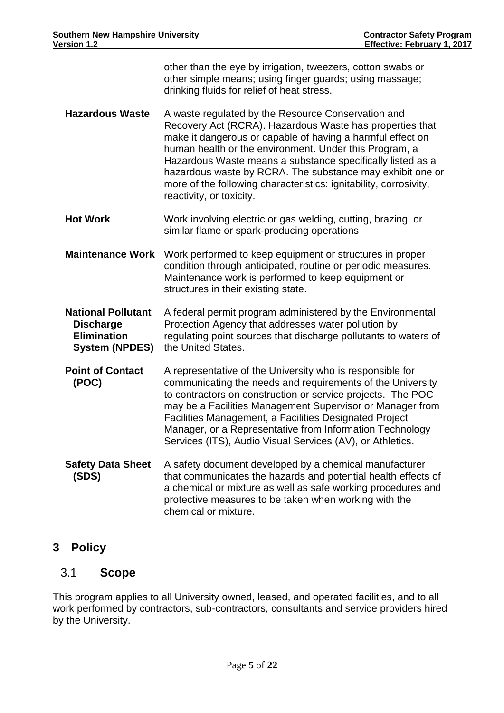other than the eye by irrigation, tweezers, cotton swabs or other simple means; using finger guards; using massage; drinking fluids for relief of heat stress. **Hazardous Waste** A waste regulated by the Resource Conservation and Recovery Act (RCRA). Hazardous Waste has properties that make it dangerous or capable of having a harmful effect on human health or the environment. Under this Program, a Hazardous Waste means a substance specifically listed as a hazardous waste by RCRA. The substance may exhibit one or more of the following characteristics: ignitability, corrosivity, reactivity, or toxicity. **Hot Work** Work involving electric or gas welding, cutting, brazing, or similar flame or spark-producing operations **Maintenance Work** Work performed to keep equipment or structures in proper condition through anticipated, routine or periodic measures. Maintenance work is performed to keep equipment or structures in their existing state. **National Pollutant Discharge Elimination System (NPDES)** the United States. A federal permit program administered by the Environmental Protection Agency that addresses water pollution by regulating point sources that discharge pollutants to waters of **Point of Contact (POC)** A representative of the University who is responsible for communicating the needs and requirements of the University to contractors on construction or service projects. The POC may be a Facilities Management Supervisor or Manager from Facilities Management, a Facilities Designated Project Manager, or a Representative from Information Technology Services (ITS), Audio Visual Services (AV), or Athletics. **Safety Data Sheet (SDS)** A safety document developed by a chemical manufacturer that communicates the hazards and potential health effects of a chemical or mixture as well as safe working procedures and protective measures to be taken when working with the chemical or mixture.

# <span id="page-4-0"></span>**3 Policy**

# <span id="page-4-1"></span>3.1 **Scope**

This program applies to all University owned, leased, and operated facilities, and to all work performed by contractors, sub-contractors, consultants and service providers hired by the University.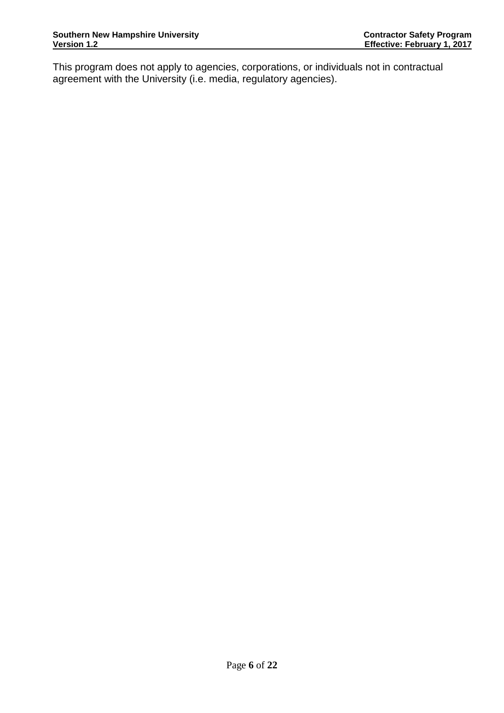This program does not apply to agencies, corporations, or individuals not in contractual agreement with the University (i.e. media, regulatory agencies).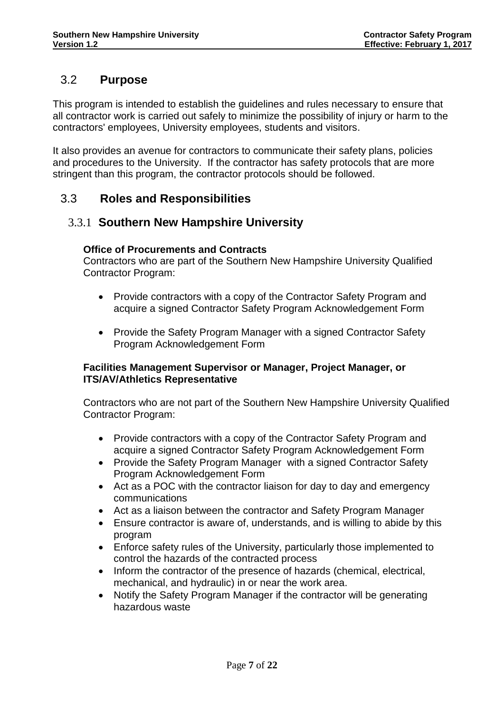# <span id="page-6-0"></span>3.2 **Purpose**

This program is intended to establish the guidelines and rules necessary to ensure that all contractor work is carried out safely to minimize the possibility of injury or harm to the contractors' employees, University employees, students and visitors.

It also provides an avenue for contractors to communicate their safety plans, policies and procedures to the University. If the contractor has safety protocols that are more stringent than this program, the contractor protocols should be followed.

# <span id="page-6-2"></span><span id="page-6-1"></span>3.3 **Roles and Responsibilities**

# 3.3.1 **Southern New Hampshire University**

### **Office of Procurements and Contracts**

Contractors who are part of the Southern New Hampshire University Qualified Contractor Program:

- Provide contractors with a copy of the Contractor Safety Program and acquire a signed Contractor Safety Program Acknowledgement Form
- Provide the Safety Program Manager with a signed Contractor Safety Program Acknowledgement Form

### **Facilities Management Supervisor or Manager, Project Manager, or ITS/AV/Athletics Representative**

Contractors who are not part of the Southern New Hampshire University Qualified Contractor Program:

- Provide contractors with a copy of the Contractor Safety Program and acquire a signed Contractor Safety Program Acknowledgement Form
- Provide the Safety Program Manager with a signed Contractor Safety Program Acknowledgement Form
- Act as a POC with the contractor liaison for day to day and emergency communications
- Act as a liaison between the contractor and Safety Program Manager
- Ensure contractor is aware of, understands, and is willing to abide by this program
- Enforce safety rules of the University, particularly those implemented to control the hazards of the contracted process
- Inform the contractor of the presence of hazards (chemical, electrical, mechanical, and hydraulic) in or near the work area.
- Notify the Safety Program Manager if the contractor will be generating hazardous waste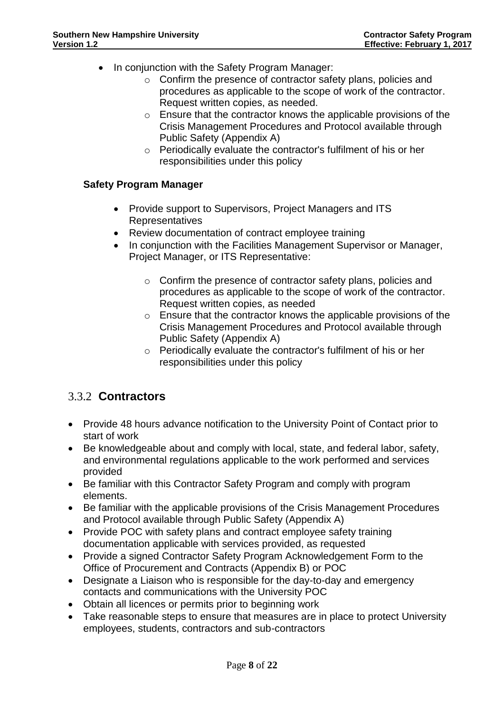- In conjunction with the Safety Program Manager:
	- o Confirm the presence of contractor safety plans, policies and procedures as applicable to the scope of work of the contractor. Request written copies, as needed.
	- o Ensure that the contractor knows the applicable provisions of the Crisis Management Procedures and Protocol available through Public Safety (Appendix A)
	- o Periodically evaluate the contractor's fulfilment of his or her responsibilities under this policy

### **Safety Program Manager**

- Provide support to Supervisors, Project Managers and ITS Representatives
- Review documentation of contract employee training
- In conjunction with the Facilities Management Supervisor or Manager, Project Manager, or ITS Representative:
	- o Confirm the presence of contractor safety plans, policies and procedures as applicable to the scope of work of the contractor. Request written copies, as needed
	- o Ensure that the contractor knows the applicable provisions of the Crisis Management Procedures and Protocol available through Public Safety (Appendix A)
	- o Periodically evaluate the contractor's fulfilment of his or her responsibilities under this policy

# <span id="page-7-0"></span>3.3.2 **Contractors**

- Provide 48 hours advance notification to the University Point of Contact prior to start of work
- Be knowledgeable about and comply with local, state, and federal labor, safety, and environmental regulations applicable to the work performed and services provided
- Be familiar with this Contractor Safety Program and comply with program elements.
- Be familiar with the applicable provisions of the Crisis Management Procedures and Protocol available through Public Safety (Appendix A)
- Provide POC with safety plans and contract employee safety training documentation applicable with services provided, as requested
- Provide a signed Contractor Safety Program Acknowledgement Form to the Office of Procurement and Contracts (Appendix B) or POC
- Designate a Liaison who is responsible for the day-to-day and emergency contacts and communications with the University POC
- Obtain all licences or permits prior to beginning work
- Take reasonable steps to ensure that measures are in place to protect University employees, students, contractors and sub-contractors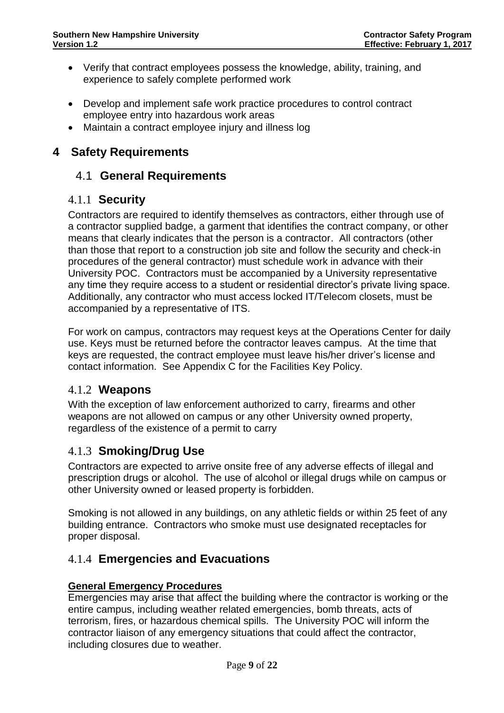- Verify that contract employees possess the knowledge, ability, training, and experience to safely complete performed work
- Develop and implement safe work practice procedures to control contract employee entry into hazardous work areas
- Maintain a contract employee injury and illness log

# <span id="page-8-1"></span><span id="page-8-0"></span>**4 Safety Requirements**

# 4.1 **General Requirements**

# <span id="page-8-2"></span>4.1.1 **Security**

Contractors are required to identify themselves as contractors, either through use of a contractor supplied badge, a garment that identifies the contract company, or other means that clearly indicates that the person is a contractor. All contractors (other than those that report to a construction job site and follow the security and check-in procedures of the general contractor) must schedule work in advance with their University POC. Contractors must be accompanied by a University representative any time they require access to a student or residential director's private living space. Additionally, any contractor who must access locked IT/Telecom closets, must be accompanied by a representative of ITS.

For work on campus, contractors may request keys at the Operations Center for daily use. Keys must be returned before the contractor leaves campus. At the time that keys are requested, the contract employee must leave his/her driver's license and contact information. See Appendix C for the Facilities Key Policy.

# <span id="page-8-3"></span>4.1.2 **Weapons**

With the exception of law enforcement authorized to carry, firearms and other weapons are not allowed on campus or any other University owned property, regardless of the existence of a permit to carry

# <span id="page-8-4"></span>4.1.3 **Smoking/Drug Use**

Contractors are expected to arrive onsite free of any adverse effects of illegal and prescription drugs or alcohol. The use of alcohol or illegal drugs while on campus or other University owned or leased property is forbidden.

Smoking is not allowed in any buildings, on any athletic fields or within 25 feet of any building entrance. Contractors who smoke must use designated receptacles for proper disposal.

# <span id="page-8-5"></span>4.1.4 **Emergencies and Evacuations**

# **General Emergency Procedures**

Emergencies may arise that affect the building where the contractor is working or the entire campus, including weather related emergencies, bomb threats, acts of terrorism, fires, or hazardous chemical spills. The University POC will inform the contractor liaison of any emergency situations that could affect the contractor, including closures due to weather.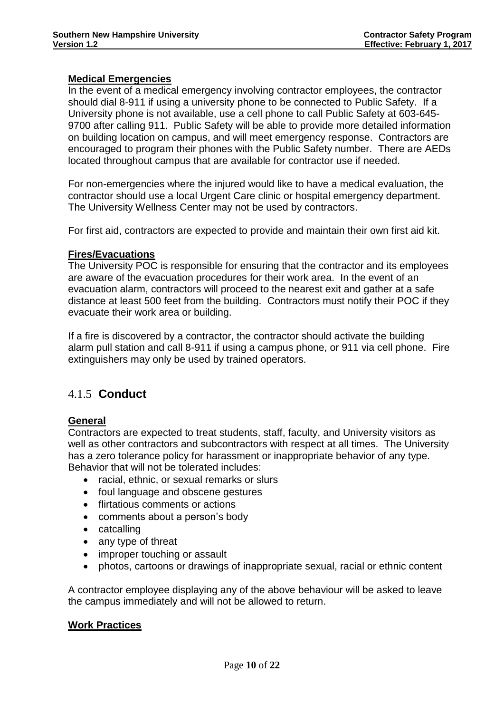### **Medical Emergencies**

In the event of a medical emergency involving contractor employees, the contractor should dial 8-911 if using a university phone to be connected to Public Safety. If a University phone is not available, use a cell phone to call Public Safety at 603-645- 9700 after calling 911. Public Safety will be able to provide more detailed information on building location on campus, and will meet emergency response. Contractors are encouraged to program their phones with the Public Safety number. There are AEDs located throughout campus that are available for contractor use if needed.

For non-emergencies where the injured would like to have a medical evaluation, the contractor should use a local Urgent Care clinic or hospital emergency department. The University Wellness Center may not be used by contractors.

For first aid, contractors are expected to provide and maintain their own first aid kit.

### **Fires/Evacuations**

The University POC is responsible for ensuring that the contractor and its employees are aware of the evacuation procedures for their work area. In the event of an evacuation alarm, contractors will proceed to the nearest exit and gather at a safe distance at least 500 feet from the building. Contractors must notify their POC if they evacuate their work area or building.

If a fire is discovered by a contractor, the contractor should activate the building alarm pull station and call 8-911 if using a campus phone, or 911 via cell phone. Fire extinguishers may only be used by trained operators.

# <span id="page-9-0"></span>4.1.5 **Conduct**

### **General**

Contractors are expected to treat students, staff, faculty, and University visitors as well as other contractors and subcontractors with respect at all times. The University has a zero tolerance policy for harassment or inappropriate behavior of any type. Behavior that will not be tolerated includes:

- racial, ethnic, or sexual remarks or slurs
- foul language and obscene gestures
- flirtatious comments or actions
- comments about a person's body
- catcalling
- any type of threat
- improper touching or assault
- photos, cartoons or drawings of inappropriate sexual, racial or ethnic content

A contractor employee displaying any of the above behaviour will be asked to leave the campus immediately and will not be allowed to return.

### **Work Practices**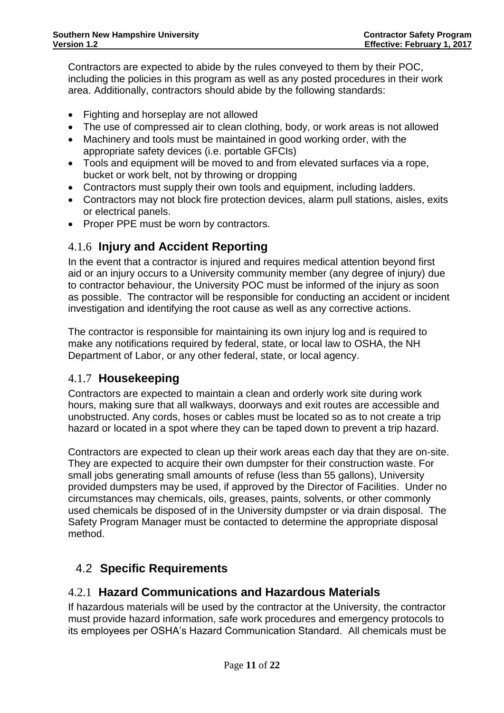Contractors are expected to abide by the rules conveyed to them by their POC, including the policies in this program as well as any posted procedures in their work area. Additionally, contractors should abide by the following standards:

- Fighting and horseplay are not allowed
- The use of compressed air to clean clothing, body, or work areas is not allowed
- Machinery and tools must be maintained in good working order, with the appropriate safety devices (i.e. portable GFCIs)
- Tools and equipment will be moved to and from elevated surfaces via a rope, bucket or work belt, not by throwing or dropping
- Contractors must supply their own tools and equipment, including ladders.
- Contractors may not block fire protection devices, alarm pull stations, aisles, exits or electrical panels.
- Proper PPE must be worn by contractors.

# <span id="page-10-0"></span>4.1.6 **Injury and Accident Reporting**

In the event that a contractor is injured and requires medical attention beyond first aid or an injury occurs to a University community member (any degree of injury) due to contractor behaviour, the University POC must be informed of the injury as soon as possible. The contractor will be responsible for conducting an accident or incident investigation and identifying the root cause as well as any corrective actions.

The contractor is responsible for maintaining its own injury log and is required to make any notifications required by federal, state, or local law to OSHA, the NH Department of Labor, or any other federal, state, or local agency.

# <span id="page-10-1"></span>4.1.7 **Housekeeping**

Contractors are expected to maintain a clean and orderly work site during work hours, making sure that all walkways, doorways and exit routes are accessible and unobstructed. Any cords, hoses or cables must be located so as to not create a trip hazard or located in a spot where they can be taped down to prevent a trip hazard.

Contractors are expected to clean up their work areas each day that they are on-site. They are expected to acquire their own dumpster for their construction waste. For small jobs generating small amounts of refuse (less than 55 gallons), University provided dumpsters may be used, if approved by the Director of Facilities. Under no circumstances may chemicals, oils, greases, paints, solvents, or other commonly used chemicals be disposed of in the University dumpster or via drain disposal. The Safety Program Manager must be contacted to determine the appropriate disposal method.

# <span id="page-10-2"></span>4.2 **Specific Requirements**

# <span id="page-10-3"></span>4.2.1 **Hazard Communications and Hazardous Materials**

If hazardous materials will be used by the contractor at the University, the contractor must provide hazard information, safe work procedures and emergency protocols to its employees per OSHA's Hazard Communication Standard. All chemicals must be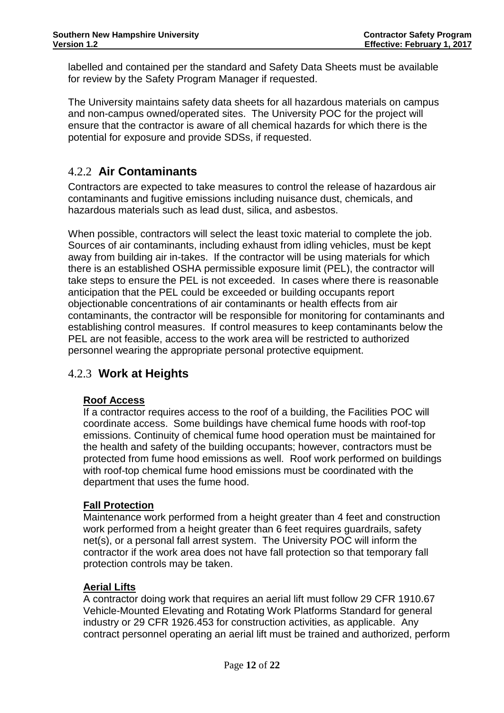labelled and contained per the standard and Safety Data Sheets must be available for review by the Safety Program Manager if requested.

The University maintains safety data sheets for all hazardous materials on campus and non-campus owned/operated sites. The University POC for the project will ensure that the contractor is aware of all chemical hazards for which there is the potential for exposure and provide SDSs, if requested.

# <span id="page-11-0"></span>4.2.2 **Air Contaminants**

Contractors are expected to take measures to control the release of hazardous air contaminants and fugitive emissions including nuisance dust, chemicals, and hazardous materials such as lead dust, silica, and asbestos.

When possible, contractors will select the least toxic material to complete the job. Sources of air contaminants, including exhaust from idling vehicles, must be kept away from building air in-takes. If the contractor will be using materials for which there is an established OSHA permissible exposure limit (PEL), the contractor will take steps to ensure the PEL is not exceeded. In cases where there is reasonable anticipation that the PEL could be exceeded or building occupants report objectionable concentrations of air contaminants or health effects from air contaminants, the contractor will be responsible for monitoring for contaminants and establishing control measures. If control measures to keep contaminants below the PEL are not feasible, access to the work area will be restricted to authorized personnel wearing the appropriate personal protective equipment.

# <span id="page-11-1"></span>4.2.3 **Work at Heights**

# **Roof Access**

If a contractor requires access to the roof of a building, the Facilities POC will coordinate access. Some buildings have chemical fume hoods with roof-top emissions. Continuity of chemical fume hood operation must be maintained for the health and safety of the building occupants; however, contractors must be protected from fume hood emissions as well. Roof work performed on buildings with roof-top chemical fume hood emissions must be coordinated with the department that uses the fume hood.

### **Fall Protection**

Maintenance work performed from a height greater than 4 feet and construction work performed from a height greater than 6 feet requires guardrails, safety net(s), or a personal fall arrest system. The University POC will inform the contractor if the work area does not have fall protection so that temporary fall protection controls may be taken.

### **Aerial Lifts**

A contractor doing work that requires an aerial lift must follow 29 CFR 1910.67 Vehicle-Mounted Elevating and Rotating Work Platforms Standard for general industry or 29 CFR 1926.453 for construction activities, as applicable. Any contract personnel operating an aerial lift must be trained and authorized, perform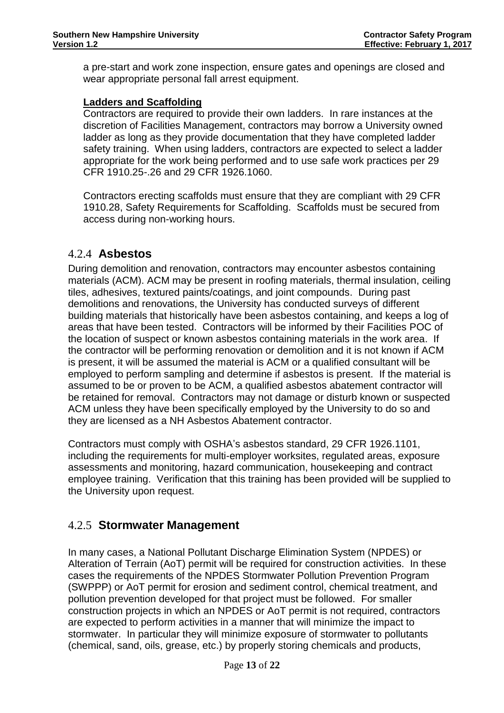a pre-start and work zone inspection, ensure gates and openings are closed and wear appropriate personal fall arrest equipment.

### **Ladders and Scaffolding**

Contractors are required to provide their own ladders. In rare instances at the discretion of Facilities Management, contractors may borrow a University owned ladder as long as they provide documentation that they have completed ladder safety training. When using ladders, contractors are expected to select a ladder appropriate for the work being performed and to use safe work practices per 29 CFR 1910.25-.26 and 29 CFR 1926.1060.

Contractors erecting scaffolds must ensure that they are compliant with 29 CFR 1910.28, Safety Requirements for Scaffolding. Scaffolds must be secured from access during non-working hours.

# <span id="page-12-0"></span>4.2.4 **Asbestos**

During demolition and renovation, contractors may encounter asbestos containing materials (ACM). ACM may be present in roofing materials, thermal insulation, ceiling tiles, adhesives, textured paints/coatings, and joint compounds. During past demolitions and renovations, the University has conducted surveys of different building materials that historically have been asbestos containing, and keeps a log of areas that have been tested. Contractors will be informed by their Facilities POC of the location of suspect or known asbestos containing materials in the work area. If the contractor will be performing renovation or demolition and it is not known if ACM is present, it will be assumed the material is ACM or a qualified consultant will be employed to perform sampling and determine if asbestos is present. If the material is assumed to be or proven to be ACM, a qualified asbestos abatement contractor will be retained for removal. Contractors may not damage or disturb known or suspected ACM unless they have been specifically employed by the University to do so and they are licensed as a NH Asbestos Abatement contractor.

Contractors must comply with OSHA's asbestos standard, 29 CFR 1926.1101, including the requirements for multi-employer worksites, regulated areas, exposure assessments and monitoring, hazard communication, housekeeping and contract employee training. Verification that this training has been provided will be supplied to the University upon request.

# <span id="page-12-1"></span>4.2.5 **Stormwater Management**

In many cases, a National Pollutant Discharge Elimination System (NPDES) or Alteration of Terrain (AoT) permit will be required for construction activities. In these cases the requirements of the NPDES Stormwater Pollution Prevention Program (SWPPP) or AoT permit for erosion and sediment control, chemical treatment, and pollution prevention developed for that project must be followed. For smaller construction projects in which an NPDES or AoT permit is not required, contractors are expected to perform activities in a manner that will minimize the impact to stormwater. In particular they will minimize exposure of stormwater to pollutants (chemical, sand, oils, grease, etc.) by properly storing chemicals and products,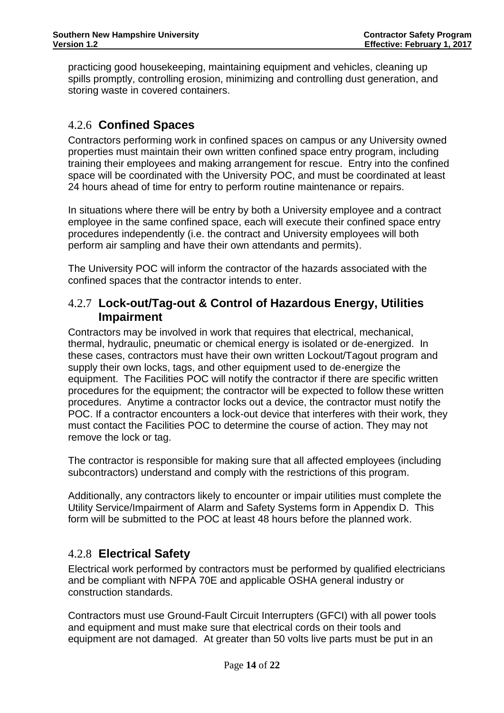practicing good housekeeping, maintaining equipment and vehicles, cleaning up spills promptly, controlling erosion, minimizing and controlling dust generation, and storing waste in covered containers.

# <span id="page-13-0"></span>4.2.6 **Confined Spaces**

Contractors performing work in confined spaces on campus or any University owned properties must maintain their own written confined space entry program, including training their employees and making arrangement for rescue. Entry into the confined space will be coordinated with the University POC, and must be coordinated at least 24 hours ahead of time for entry to perform routine maintenance or repairs.

In situations where there will be entry by both a University employee and a contract employee in the same confined space, each will execute their confined space entry procedures independently (i.e. the contract and University employees will both perform air sampling and have their own attendants and permits).

The University POC will inform the contractor of the hazards associated with the confined spaces that the contractor intends to enter.

# <span id="page-13-1"></span>4.2.7 **Lock-out/Tag-out & Control of Hazardous Energy, Utilities Impairment**

Contractors may be involved in work that requires that electrical, mechanical, thermal, hydraulic, pneumatic or chemical energy is isolated or de-energized. In these cases, contractors must have their own written Lockout/Tagout program and supply their own locks, tags, and other equipment used to de-energize the equipment. The Facilities POC will notify the contractor if there are specific written procedures for the equipment; the contractor will be expected to follow these written procedures. Anytime a contractor locks out a device, the contractor must notify the POC. If a contractor encounters a lock-out device that interferes with their work, they must contact the Facilities POC to determine the course of action. They may not remove the lock or tag.

The contractor is responsible for making sure that all affected employees (including subcontractors) understand and comply with the restrictions of this program.

Additionally, any contractors likely to encounter or impair utilities must complete the Utility Service/Impairment of Alarm and Safety Systems form in Appendix D. This form will be submitted to the POC at least 48 hours before the planned work.

# <span id="page-13-2"></span>4.2.8 **Electrical Safety**

Electrical work performed by contractors must be performed by qualified electricians and be compliant with NFPA 70E and applicable OSHA general industry or construction standards.

Contractors must use Ground-Fault Circuit Interrupters (GFCI) with all power tools and equipment and must make sure that electrical cords on their tools and equipment are not damaged. At greater than 50 volts live parts must be put in an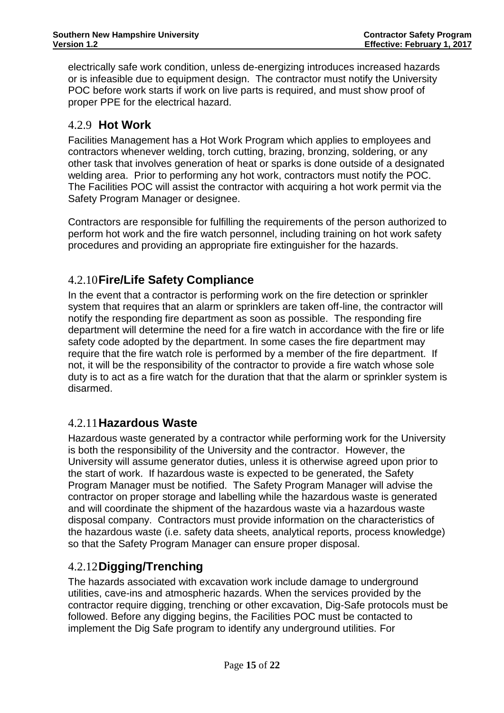electrically safe work condition, unless de-energizing introduces increased hazards or is infeasible due to equipment design. The contractor must notify the University POC before work starts if work on live parts is required, and must show proof of proper PPE for the electrical hazard.

# <span id="page-14-0"></span>4.2.9 **Hot Work**

Facilities Management has a Hot Work Program which applies to employees and contractors whenever welding, torch cutting, brazing, bronzing, soldering, or any other task that involves generation of heat or sparks is done outside of a designated welding area. Prior to performing any hot work, contractors must notify the POC. The Facilities POC will assist the contractor with acquiring a hot work permit via the Safety Program Manager or designee.

Contractors are responsible for fulfilling the requirements of the person authorized to perform hot work and the fire watch personnel, including training on hot work safety procedures and providing an appropriate fire extinguisher for the hazards.

# <span id="page-14-1"></span>4.2.10**Fire/Life Safety Compliance**

In the event that a contractor is performing work on the fire detection or sprinkler system that requires that an alarm or sprinklers are taken off-line, the contractor will notify the responding fire department as soon as possible. The responding fire department will determine the need for a fire watch in accordance with the fire or life safety code adopted by the department. In some cases the fire department may require that the fire watch role is performed by a member of the fire department. If not, it will be the responsibility of the contractor to provide a fire watch whose sole duty is to act as a fire watch for the duration that that the alarm or sprinkler system is disarmed.

# <span id="page-14-2"></span>4.2.11**Hazardous Waste**

Hazardous waste generated by a contractor while performing work for the University is both the responsibility of the University and the contractor. However, the University will assume generator duties, unless it is otherwise agreed upon prior to the start of work. If hazardous waste is expected to be generated, the Safety Program Manager must be notified. The Safety Program Manager will advise the contractor on proper storage and labelling while the hazardous waste is generated and will coordinate the shipment of the hazardous waste via a hazardous waste disposal company. Contractors must provide information on the characteristics of the hazardous waste (i.e. safety data sheets, analytical reports, process knowledge) so that the Safety Program Manager can ensure proper disposal.

# <span id="page-14-3"></span>4.2.12**Digging/Trenching**

The hazards associated with excavation work include damage to underground utilities, cave-ins and atmospheric hazards. When the services provided by the contractor require digging, trenching or other excavation, Dig-Safe protocols must be followed. Before any digging begins, the Facilities POC must be contacted to implement the Dig Safe program to identify any underground utilities. For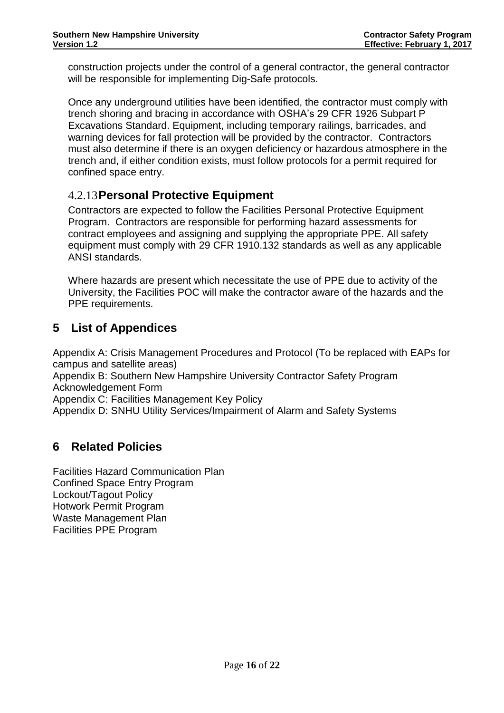construction projects under the control of a general contractor, the general contractor will be responsible for implementing Dig-Safe protocols.

Once any underground utilities have been identified, the contractor must comply with trench shoring and bracing in accordance with OSHA's 29 CFR 1926 Subpart P Excavations Standard. Equipment, including temporary railings, barricades, and warning devices for fall protection will be provided by the contractor. Contractors must also determine if there is an oxygen deficiency or hazardous atmosphere in the trench and, if either condition exists, must follow protocols for a permit required for confined space entry.

# <span id="page-15-0"></span>4.2.13**Personal Protective Equipment**

Contractors are expected to follow the Facilities Personal Protective Equipment Program. Contractors are responsible for performing hazard assessments for contract employees and assigning and supplying the appropriate PPE. All safety equipment must comply with 29 CFR 1910.132 standards as well as any applicable ANSI standards.

Where hazards are present which necessitate the use of PPE due to activity of the University, the Facilities POC will make the contractor aware of the hazards and the PPE requirements.

# <span id="page-15-1"></span>**5 List of Appendices**

Appendix A: Crisis Management Procedures and Protocol (To be replaced with EAPs for campus and satellite areas)

Appendix B: Southern New Hampshire University Contractor Safety Program Acknowledgement Form

Appendix C: Facilities Management Key Policy

Appendix D: SNHU Utility Services/Impairment of Alarm and Safety Systems

# <span id="page-15-2"></span>**6 Related Policies**

Facilities Hazard Communication Plan Confined Space Entry Program Lockout/Tagout Policy Hotwork Permit Program Waste Management Plan Facilities PPE Program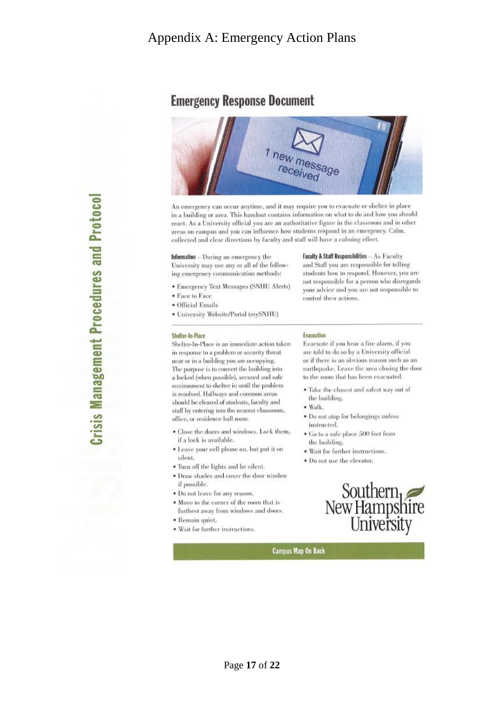# **Emergency Response Document**



An emergency can occur anytime, and it may require you to evacuate or shelter in place in a building or area. This handout contains information on what to do and how you should react. As a University official you are an authoritative figure in the classroom and in other areas on campus and you can influence how students respond in an emergency. Calm, collected and clear directions by faculty and staff will have a calming effect.

Information - During an emergency the University may use any or all of the following emergency communication methods:

- **Emergency Text Messages (SNHU Alerts)**
- · Face to Face
- · Official Emails
- · University Website/Portal (mySNHU)

### Shelter-In-Place

Shelter-In-Place is an immediate action taken in response to a problem or security threat near or in a building you are occupying. The purpose is to convert the building into a locked (when possible), secured and safe environment to shelter in until the problem is resolved. Hallways and common areas should be cleared of students, faculty and staff by entering into the nearest classroom, office, or residence hall room.

- · Close the doors and windows. Lock them, if a lock is available.
- · Leave your cell phone on, but put it on silent.
- · Turn off the lights and be silent.
- · Draw shades and cover the door window if possible.
- · Do not leave for any reason.
- . Move to the corner of the room that is furthest away from windows and doors.
- · Remain quiet.
- · Wait for further instructions.

### Evacuation

control their actions.

Evacuate if you hear a fire alarm, if you are told to do so by a University official or if there is an obvious reason such as an earthquake. Leave the area closing the door to the room that has been evacuated.

**Faculty & Staff Responsibilities - As Faculty** 

and Staff you are responsible for telling

students how to respond. However, you are not responsible for a person who disregards

your advice and you are not responsible to

- · Take the closest and safest way out of the building.
- · Walk.
- · Do not stop for belongings unless instructed.
- · Go to a safe place 500 feet from the building.
- · Wait for further instructions.
- · Do not use the elevator.

# Southern<br>New Hampshire<br>University

**Campus Map On Back** 

**Management Procedures and Protocol**  $\overline{\mathbf{r}}$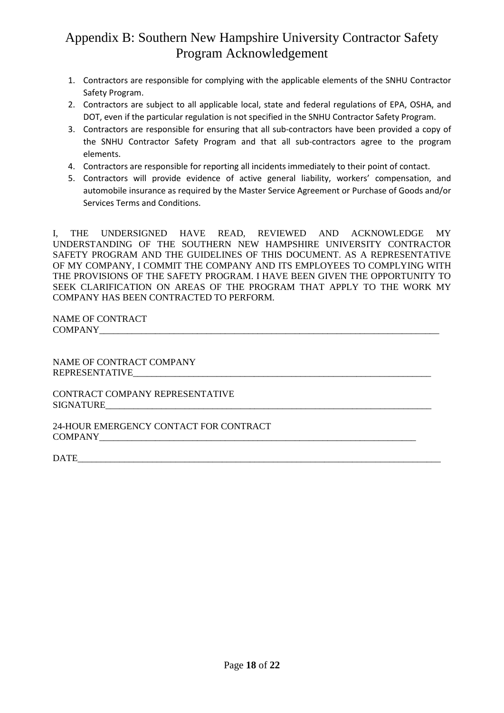# Appendix B: Southern New Hampshire University Contractor Safety Program Acknowledgement

- 1. Contractors are responsible for complying with the applicable elements of the SNHU Contractor Safety Program.
- 2. Contractors are subject to all applicable local, state and federal regulations of EPA, OSHA, and DOT, even if the particular regulation is not specified in the SNHU Contractor Safety Program.
- 3. Contractors are responsible for ensuring that all sub-contractors have been provided a copy of the SNHU Contractor Safety Program and that all sub-contractors agree to the program elements.
- 4. Contractors are responsible for reporting all incidents immediately to their point of contact.
- 5. Contractors will provide evidence of active general liability, workers' compensation, and automobile insurance as required by the Master Service Agreement or Purchase of Goods and/or Services Terms and Conditions.

I, THE UNDERSIGNED HAVE READ, REVIEWED AND ACKNOWLEDGE MY UNDERSTANDING OF THE SOUTHERN NEW HAMPSHIRE UNIVERSITY CONTRACTOR SAFETY PROGRAM AND THE GUIDELINES OF THIS DOCUMENT. AS A REPRESENTATIVE OF MY COMPANY, I COMMIT THE COMPANY AND ITS EMPLOYEES TO COMPLYING WITH THE PROVISIONS OF THE SAFETY PROGRAM. I HAVE BEEN GIVEN THE OPPORTUNITY TO SEEK CLARIFICATION ON AREAS OF THE PROGRAM THAT APPLY TO THE WORK MY COMPANY HAS BEEN CONTRACTED TO PERFORM.

NAME OF CONTRACT  $COMPANY$ 

NAME OF CONTRACT COMPANY REPRESENTATIVE

CONTRACT COMPANY REPRESENTATIVE  $SIGNATURE$ 

24-HOUR EMERGENCY CONTACT FOR CONTRACT COMPANY\_\_\_\_\_\_\_\_\_\_\_\_\_\_\_\_\_\_\_\_\_\_\_\_\_\_\_\_\_\_\_\_\_\_\_\_\_\_\_\_\_\_\_\_\_\_\_\_\_\_\_\_\_\_\_\_\_\_\_\_\_\_\_\_\_\_\_\_

DATE\_\_\_\_\_\_\_\_\_\_\_\_\_\_\_\_\_\_\_\_\_\_\_\_\_\_\_\_\_\_\_\_\_\_\_\_\_\_\_\_\_\_\_\_\_\_\_\_\_\_\_\_\_\_\_\_\_\_\_\_\_\_\_\_\_\_\_\_\_\_\_\_\_\_\_\_\_\_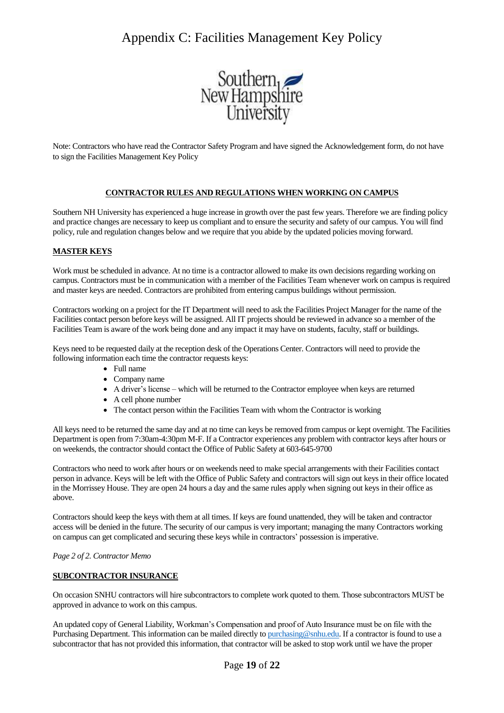# Appendix C: Facilities Management Key Policy



Note: Contractors who have read the Contractor Safety Program and have signed the Acknowledgement form, do not have to sign the Facilities Management Key Policy

### **CONTRACTOR RULES AND REGULATIONS WHEN WORKING ON CAMPUS**

Southern NH University has experienced a huge increase in growth over the past few years. Therefore we are finding policy and practice changes are necessary to keep us compliant and to ensure the security and safety of our campus. You will find policy, rule and regulation changes below and we require that you abide by the updated policies moving forward.

### **MASTER KEYS**

Work must be scheduled in advance. At no time is a contractor allowed to make its own decisions regarding working on campus. Contractors must be in communication with a member of the Facilities Team whenever work on campus is required and master keys are needed. Contractors are prohibited from entering campus buildings without permission.

Contractors working on a project for the IT Department will need to ask the Facilities Project Manager for the name of the Facilities contact person before keys will be assigned. All IT projects should be reviewed in advance so a member of the Facilities Team is aware of the work being done and any impact it may have on students, faculty, staff or buildings.

Keys need to be requested daily at the reception desk of the Operations Center. Contractors will need to provide the following information each time the contractor requests keys:

- Full name
- Company name
- A driver's license which will be returned to the Contractor employee when keys are returned
- A cell phone number
- The contact person within the Facilities Team with whom the Contractor is working

All keys need to be returned the same day and at no time can keys be removed from campus or kept overnight. The Facilities Department is open from 7:30am-4:30pm M-F. If a Contractor experiences any problem with contractor keys after hours or on weekends, the contractor should contact the Office of Public Safety at 603-645-9700

Contractors who need to work after hours or on weekends need to make special arrangements with their Facilities contact person in advance. Keys will be left with the Office of Public Safety and contractors will sign out keys in their office located in the Morrissey House. They are open 24 hours a day and the same rules apply when signing out keys in their office as above.

Contractors should keep the keys with them at all times. If keys are found unattended, they will be taken and contractor access will be denied in the future. The security of our campus is very important; managing the many Contractors working on campus can get complicated and securing these keys while in contractors' possession is imperative.

### *Page 2 of 2. Contractor Memo*

### **SUBCONTRACTOR INSURANCE**

On occasion SNHU contractors will hire subcontractors to complete work quoted to them. Those subcontractors MUST be approved in advance to work on this campus.

An updated copy of General Liability, Workman's Compensation and proof of Auto Insurance must be on file with the Purchasing Department. This information can be mailed directly t[o purchasing@snhu.edu.](mailto:purchasing@snhu.edu) If a contractor is found to use a subcontractor that has not provided this information, that contractor will be asked to stop work until we have the proper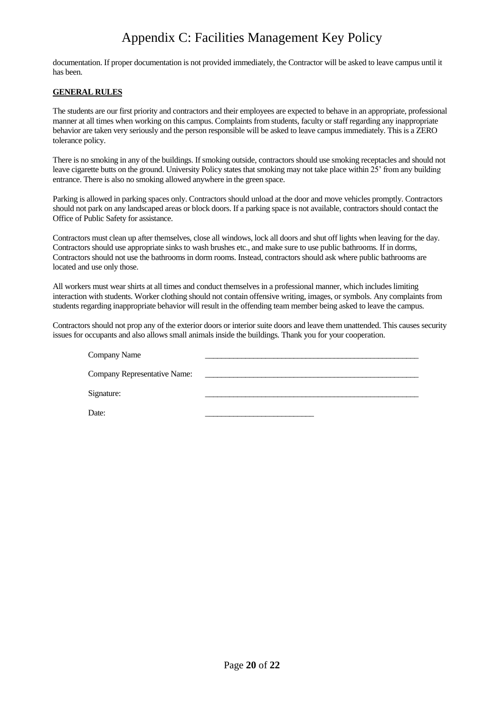# Appendix C: Facilities Management Key Policy

documentation. If proper documentation is not provided immediately, the Contractor will be asked to leave campus until it has been.

### **GENERAL RULES**

The students are our first priority and contractors and their employees are expected to behave in an appropriate, professional manner at all times when working on this campus. Complaints from students, faculty or staff regarding any inappropriate behavior are taken very seriously and the person responsible will be asked to leave campus immediately. This is a ZERO tolerance policy.

There is no smoking in any of the buildings. If smoking outside, contractors should use smoking receptacles and should not leave cigarette butts on the ground. University Policy states that smoking may not take place within 25' from any building entrance. There is also no smoking allowed anywhere in the green space.

Parking is allowed in parking spaces only. Contractors should unload at the door and move vehicles promptly. Contractors should not park on any landscaped areas or block doors. If a parking space is not available, contractors should contact the Office of Public Safety for assistance.

Contractors must clean up after themselves, close all windows, lock all doors and shut off lights when leaving for the day. Contractors should use appropriate sinks to wash brushes etc., and make sure to use public bathrooms. If in dorms, Contractors should not use the bathrooms in dorm rooms. Instead, contractors should ask where public bathrooms are located and use only those.

All workers must wear shirts at all times and conduct themselves in a professional manner, which includes limiting interaction with students. Worker clothing should not contain offensive writing, images, or symbols. Any complaints from students regarding inappropriate behavior will result in the offending team member being asked to leave the campus.

Contractors should not prop any of the exterior doors or interior suite doors and leave them unattended. This causes security issues for occupants and also allows small animals inside the buildings. Thank you for your cooperation.

| Company Name                 |  |
|------------------------------|--|
| Company Representative Name: |  |
|                              |  |
| Signature:                   |  |
| Date:                        |  |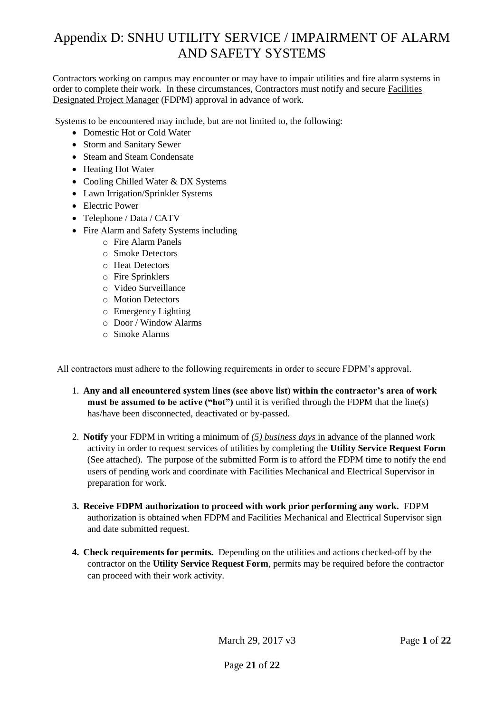# Appendix D: SNHU UTILITY SERVICE / IMPAIRMENT OF ALARM AND SAFETY SYSTEMS

Contractors working on campus may encounter or may have to impair utilities and fire alarm systems in order to complete their work. In these circumstances, Contractors must notify and secure Facilities Designated Project Manager (FDPM) approval in advance of work.

Systems to be encountered may include, but are not limited to, the following:

- Domestic Hot or Cold Water
- Storm and Sanitary Sewer
- Steam and Steam Condensate
- Heating Hot Water
- Cooling Chilled Water & DX Systems
- Lawn Irrigation/Sprinkler Systems
- Electric Power
- Telephone / Data / CATV
- Fire Alarm and Safety Systems including
	- o Fire Alarm Panels
	- o Smoke Detectors
	- o Heat Detectors
	- o Fire Sprinklers
	- o Video Surveillance
	- o Motion Detectors
	- o Emergency Lighting
	- o Door / Window Alarms
	- o Smoke Alarms

All contractors must adhere to the following requirements in order to secure FDPM's approval.

- 1. **Any and all encountered system lines (see above list) within the contractor's area of work must be assumed to be active ("hot")** until it is verified through the FDPM that the line(s) has/have been disconnected, deactivated or by-passed.
- 2. **Notify** your FDPM in writing a minimum of *(5) business days* in advance of the planned work activity in order to request services of utilities by completing the **Utility Service Request Form** (See attached). The purpose of the submitted Form is to afford the FDPM time to notify the end users of pending work and coordinate with Facilities Mechanical and Electrical Supervisor in preparation for work.
- **3. Receive FDPM authorization to proceed with work prior performing any work.** FDPM authorization is obtained when FDPM and Facilities Mechanical and Electrical Supervisor sign and date submitted request.
- **4. Check requirements for permits.** Depending on the utilities and actions checked-off by the contractor on the **Utility Service Request Form**, permits may be required before the contractor can proceed with their work activity.